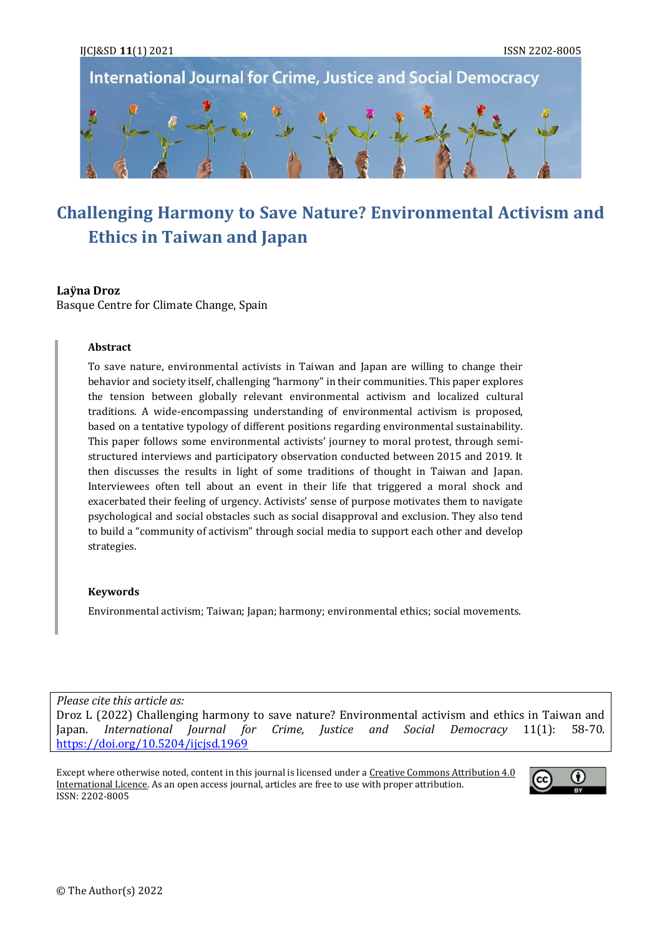

# **Challenging Harmony to Save Nature? Environmental Activism and Ethics in Taiwan and Japan**

## **Laÿna Droz**

Basque Centre for Climate Change, Spain

#### **Abstract**

To save nature, environmental activists in Taiwan and Japan are willing to change their behavior and society itself, challenging "harmony" in their communities. This paper explores the tension between globally relevant environmental activism and localized cultural traditions. A wide-encompassing understanding of environmental activism is proposed, based on a tentative typology of different positions regarding environmental sustainability. This paper follows some environmental activists' journey to moral protest, through semistructured interviews and participatory observation conducted between 2015 and 2019. It then discusses the results in light of some traditions of thought in Taiwan and Japan. Interviewees often tell about an event in their life that triggered a moral shock and exacerbated their feeling of urgency. Activists' sense of purpose motivates them to navigate psychological and social obstacles such as social disapproval and exclusion. They also tend to build a "community of activism" through social media to support each other and develop strategies.

#### **Keywords**

Environmental activism; Taiwan; Japan; harmony; environmental ethics; social movements.

*Please cite this article as:*

Droz L (2022) Challenging harmony to save nature? Environmental activism and ethics in Taiwan and Japan. *International Journal for Crime, Justice and Social Democracy* 11(1): 58-70. <https://doi.org/10.5204/ijcjsd.1969>

Except where otherwise noted, content in this journal is licensed under a Creative Commons Attribution 4.0 [International Licence.](https://creativecommons.org/licenses/by/4.0/) As an open access journal, articles are free to use with proper attribution. ISSN: 2202-8005

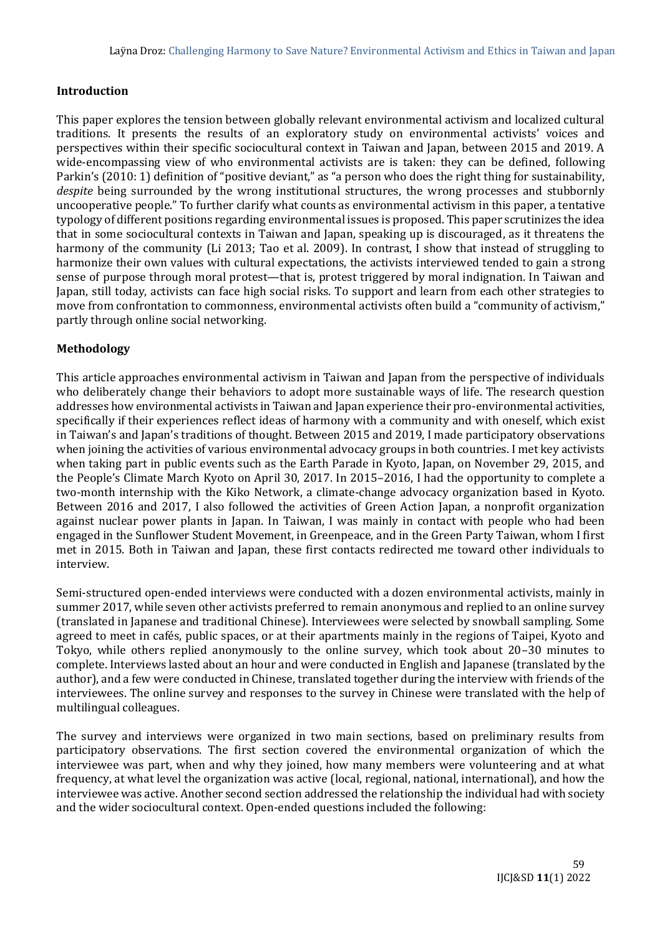## **Introduction**

This paper explores the tension between globally relevant environmental activism and localized cultural traditions. It presents the results of an exploratory study on environmental activists' voices and perspectives within their specific sociocultural context in Taiwan and Japan, between 2015 and 2019. A wide-encompassing view of who environmental activists are is taken: they can be defined, following Parkin's (2010: 1) definition of "positive deviant," as "a person who does the right thing for sustainability, *despite* being surrounded by the wrong institutional structures, the wrong processes and stubbornly uncooperative people." To further clarify what counts as environmental activism in this paper, a tentative typology of different positions regarding environmental issues is proposed. This paper scrutinizes the idea that in some sociocultural contexts in Taiwan and Japan, speaking up is discouraged, as it threatens the harmony of the community (Li 2013; Tao et al. 2009). In contrast, I show that instead of struggling to harmonize their own values with cultural expectations, the activists interviewed tended to gain a strong sense of purpose through moral protest—that is, protest triggered by moral indignation. In Taiwan and Japan, still today, activists can face high social risks. To support and learn from each other strategies to move from confrontation to commonness, environmental activists often build a "community of activism," partly through online social networking.

## **Methodology**

This article approaches environmental activism in Taiwan and Japan from the perspective of individuals who deliberately change their behaviors to adopt more sustainable ways of life. The research question addresses how environmental activists in Taiwan and Japan experience their pro-environmental activities, specifically if their experiences reflect ideas of harmony with a community and with oneself, which exist in Taiwan's and Japan's traditions of thought. Between 2015 and 2019, I made participatory observations when joining the activities of various environmental advocacy groups in both countries. I met key activists when taking part in public events such as the Earth Parade in Kyoto, Japan, on November 29, 2015, and the People's Climate March Kyoto on April 30, 2017. In 2015–2016, I had the opportunity to complete a two-month internship with the Kiko Network, a climate-change advocacy organization based in Kyoto. Between 2016 and 2017, I also followed the activities of Green Action Japan, a nonprofit organization against nuclear power plants in Japan. In Taiwan, I was mainly in contact with people who had been engaged in the Sunflower Student Movement, in Greenpeace, and in the Green Party Taiwan, whom I first met in 2015. Both in Taiwan and Japan, these first contacts redirected me toward other individuals to interview.

Semi-structured open-ended interviews were conducted with a dozen environmental activists, mainly in summer 2017, while seven other activists preferred to remain anonymous and replied to an online survey (translated in Japanese and traditional Chinese). Interviewees were selected by snowball sampling. Some agreed to meet in cafés, public spaces, or at their apartments mainly in the regions of Taipei, Kyoto and Tokyo, while others replied anonymously to the online survey, which took about 20–30 minutes to complete. Interviews lasted about an hour and were conducted in English and Japanese (translated by the author), and a few were conducted in Chinese, translated together during the interview with friends of the interviewees. The online survey and responses to the survey in Chinese were translated with the help of multilingual colleagues.

The survey and interviews were organized in two main sections, based on preliminary results from participatory observations. The first section covered the environmental organization of which the interviewee was part, when and why they joined, how many members were volunteering and at what frequency, at what level the organization was active (local, regional, national, international), and how the interviewee was active. Another second section addressed the relationship the individual had with society and the wider sociocultural context. Open-ended questions included the following: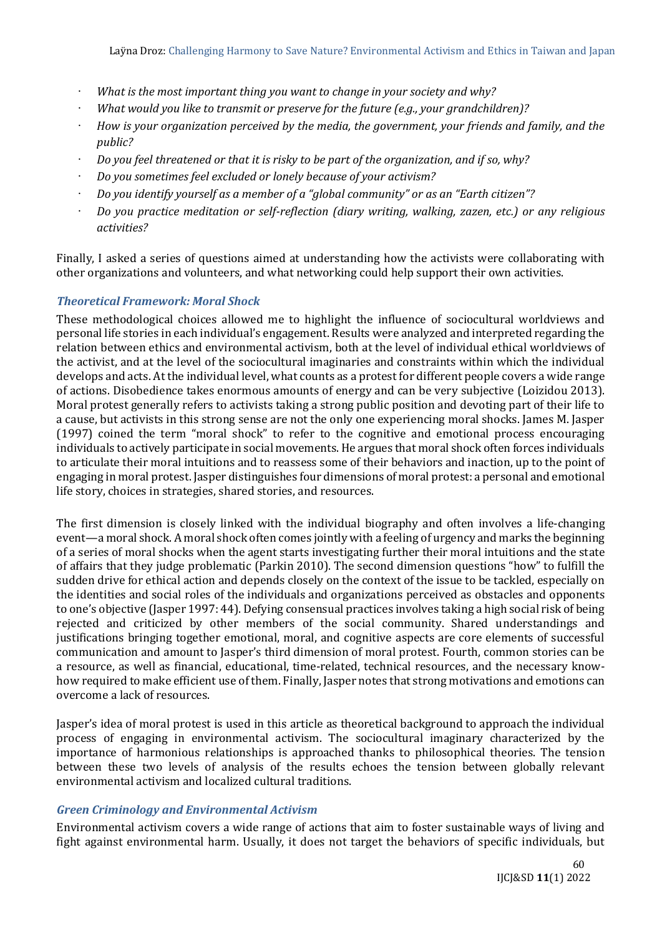- *What is the most important thing you want to change in your society and why?*
- *What would you like to transmit or preserve for the future (e.g., your grandchildren)?*
- *How is your organization perceived by the media, the government, your friends and family, and the public?*
- *Do you feel threatened or that it is risky to be part of the organization, and if so, why?*
- *Do you sometimes feel excluded or lonely because of your activism?*
- *Do you identify yourself as a member of a "global community" or as an "Earth citizen"?*
- *Do you practice meditation or self-reflection (diary writing, walking, zazen, etc.) or any religious activities?*

Finally, I asked a series of questions aimed at understanding how the activists were collaborating with other organizations and volunteers, and what networking could help support their own activities.

## *Theoretical Framework: Moral Shock*

These methodological choices allowed me to highlight the influence of sociocultural worldviews and personal life stories in each individual's engagement. Results were analyzed and interpreted regarding the relation between ethics and environmental activism, both at the level of individual ethical worldviews of the activist, and at the level of the sociocultural imaginaries and constraints within which the individual develops and acts. At the individual level, what counts as a protest for different people covers a wide range of actions. Disobedience takes enormous amounts of energy and can be very subjective (Loizidou 2013). Moral protest generally refers to activists taking a strong public position and devoting part of their life to a cause, but activists in this strong sense are not the only one experiencing moral shocks. James M. Jasper (1997) coined the term "moral shock" to refer to the cognitive and emotional process encouraging individuals to actively participate in social movements. He argues that moral shock often forces individuals to articulate their moral intuitions and to reassess some of their behaviors and inaction, up to the point of engaging in moral protest. Jasper distinguishes four dimensions of moral protest: a personal and emotional life story, choices in strategies, shared stories, and resources.

The first dimension is closely linked with the individual biography and often involves a life-changing event—a moral shock. A moral shock often comes jointly with a feeling of urgency and marks the beginning of a series of moral shocks when the agent starts investigating further their moral intuitions and the state of affairs that they judge problematic (Parkin 2010). The second dimension questions "how" to fulfill the sudden drive for ethical action and depends closely on the context of the issue to be tackled, especially on the identities and social roles of the individuals and organizations perceived as obstacles and opponents to one's objective (Jasper 1997: 44). Defying consensual practices involves taking a high social risk of being rejected and criticized by other members of the social community. Shared understandings and justifications bringing together emotional, moral, and cognitive aspects are core elements of successful communication and amount to Jasper's third dimension of moral protest. Fourth, common stories can be a resource, as well as financial, educational, time-related, technical resources, and the necessary knowhow required to make efficient use of them. Finally, Jasper notes that strong motivations and emotions can overcome a lack of resources.

Jasper's idea of moral protest is used in this article as theoretical background to approach the individual process of engaging in environmental activism. The sociocultural imaginary characterized by the importance of harmonious relationships is approached thanks to philosophical theories. The tension between these two levels of analysis of the results echoes the tension between globally relevant environmental activism and localized cultural traditions.

#### *Green Criminology and Environmental Activism*

Environmental activism covers a wide range of actions that aim to foster sustainable ways of living and fight against environmental harm. Usually, it does not target the behaviors of specific individuals, but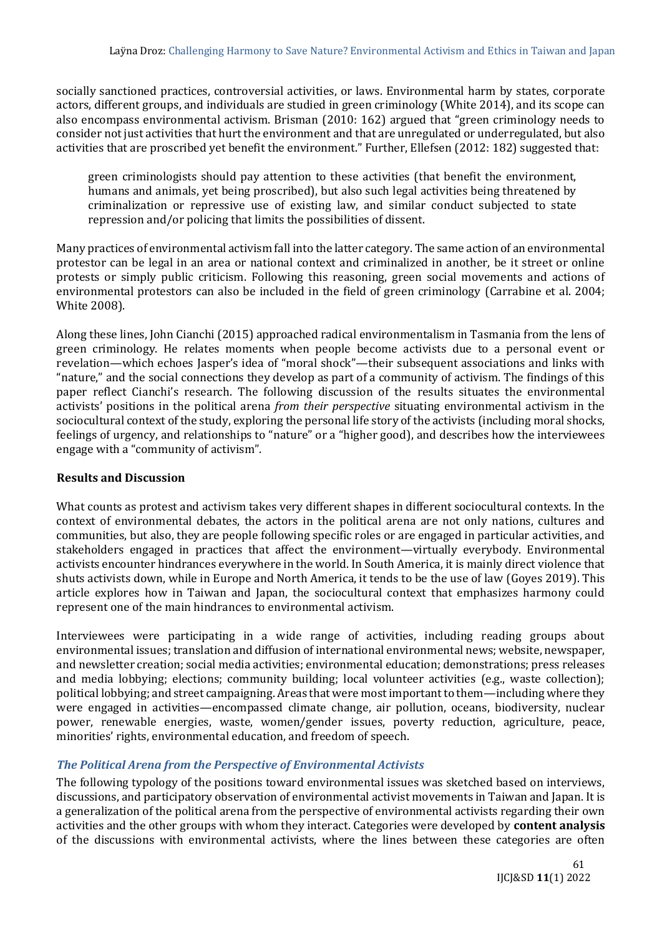socially sanctioned practices, controversial activities, or laws. Environmental harm by states, corporate actors, different groups, and individuals are studied in green criminology (White 2014), and its scope can also encompass environmental activism. Brisman (2010: 162) argued that "green criminology needs to consider not just activities that hurt the environment and that are unregulated or underregulated, but also activities that are proscribed yet benefit the environment." Further, Ellefsen (2012: 182) suggested that:

green criminologists should pay attention to these activities (that benefit the environment, humans and animals, yet being proscribed), but also such legal activities being threatened by criminalization or repressive use of existing law, and similar conduct subjected to state repression and/or policing that limits the possibilities of dissent.

Many practices of environmental activism fall into the latter category. The same action of an environmental protestor can be legal in an area or national context and criminalized in another, be it street or online protests or simply public criticism. Following this reasoning, green social movements and actions of environmental protestors can also be included in the field of green criminology (Carrabine et al. 2004; White 2008).

Along these lines, John Cianchi (2015) approached radical environmentalism in Tasmania from the lens of green criminology. He relates moments when people become activists due to a personal event or revelation—which echoes Jasper's idea of "moral shock"—their subsequent associations and links with "nature," and the social connections they develop as part of a community of activism. The findings of this paper reflect Cianchi's research. The following discussion of the results situates the environmental activists' positions in the political arena *from their perspective* situating environmental activism in the sociocultural context of the study, exploring the personal life story of the activists (including moral shocks, feelings of urgency, and relationships to "nature" or a "higher good), and describes how the interviewees engage with a "community of activism".

## **Results and Discussion**

What counts as protest and activism takes very different shapes in different sociocultural contexts. In the context of environmental debates, the actors in the political arena are not only nations, cultures and communities, but also, they are people following specific roles or are engaged in particular activities, and stakeholders engaged in practices that affect the environment—virtually everybody. Environmental activists encounter hindrances everywhere in the world. In South America, it is mainly direct violence that shuts activists down, while in Europe and North America, it tends to be the use of law (Goyes 2019). This article explores how in Taiwan and Japan, the sociocultural context that emphasizes harmony could represent one of the main hindrances to environmental activism.

Interviewees were participating in a wide range of activities, including reading groups about environmental issues; translation and diffusion of international environmental news; website, newspaper, and newsletter creation; social media activities; environmental education; demonstrations; press releases and media lobbying; elections; community building; local volunteer activities (e.g., waste collection); political lobbying; and street campaigning. Areas that were most important to them—including where they were engaged in activities—encompassed climate change, air pollution, oceans, biodiversity, nuclear power, renewable energies, waste, women/gender issues, poverty reduction, agriculture, peace, minorities' rights, environmental education, and freedom of speech.

# *The Political Arena from the Perspective of Environmental Activists*

The following typology of the positions toward environmental issues was sketched based on interviews, discussions, and participatory observation of environmental activist movements in Taiwan and Japan. It is a generalization of the political arena from the perspective of environmental activists regarding their own activities and the other groups with whom they interact. Categories were developed by **content analysis** of the discussions with environmental activists, where the lines between these categories are often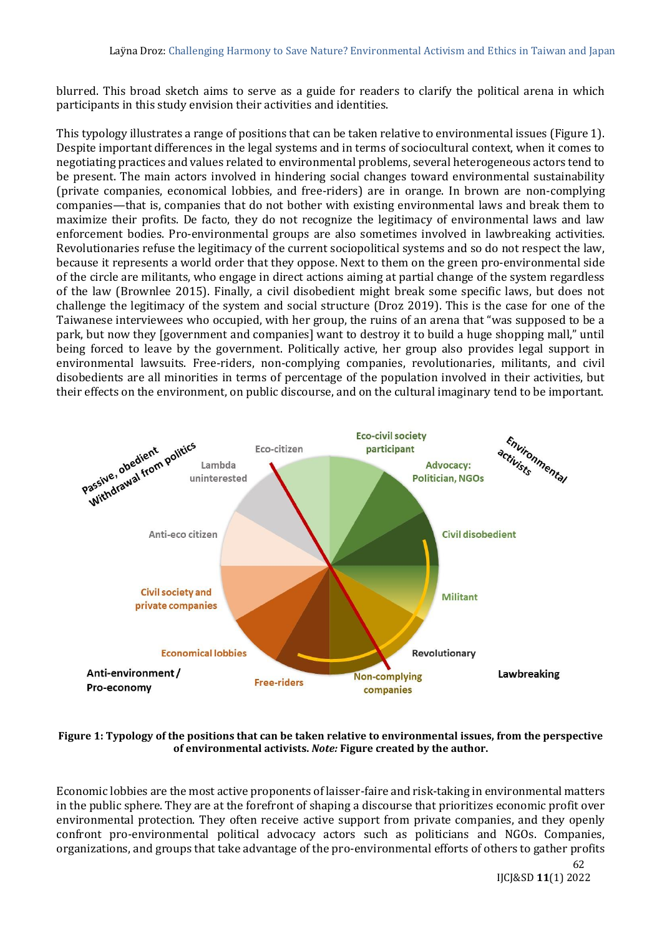blurred. This broad sketch aims to serve as a guide for readers to clarify the political arena in which participants in this study envision their activities and identities.

This typology illustrates a range of positions that can be taken relative to environmental issues (Figure 1). Despite important differences in the legal systems and in terms of sociocultural context, when it comes to negotiating practices and values related to environmental problems, several heterogeneous actors tend to be present. The main actors involved in hindering social changes toward environmental sustainability (private companies, economical lobbies, and free-riders) are in orange. In brown are non-complying companies—that is, companies that do not bother with existing environmental laws and break them to maximize their profits. De facto, they do not recognize the legitimacy of environmental laws and law enforcement bodies. Pro-environmental groups are also sometimes involved in lawbreaking activities. Revolutionaries refuse the legitimacy of the current sociopolitical systems and so do not respect the law, because it represents a world order that they oppose. Next to them on the green pro-environmental side of the circle are militants, who engage in direct actions aiming at partial change of the system regardless of the law (Brownlee 2015). Finally, a civil disobedient might break some specific laws, but does not challenge the legitimacy of the system and social structure (Droz 2019). This is the case for one of the Taiwanese interviewees who occupied, with her group, the ruins of an arena that "was supposed to be a park, but now they [government and companies] want to destroy it to build a huge shopping mall," until being forced to leave by the government. Politically active, her group also provides legal support in environmental lawsuits. Free-riders, non-complying companies, revolutionaries, militants, and civil disobedients are all minorities in terms of percentage of the population involved in their activities, but their effects on the environment, on public discourse, and on the cultural imaginary tend to be important.



#### **Figure 1: Typology of the positions that can be taken relative to environmental issues, from the perspective of environmental activists.** *Note:* **Figure created by the author.**

Economic lobbies are the most active proponents of laisser-faire and risk-taking in environmental matters in the public sphere. They are at the forefront of shaping a discourse that prioritizes economic profit over environmental protection. They often receive active support from private companies, and they openly confront pro-environmental political advocacy actors such as politicians and NGOs. Companies, organizations, and groups that take advantage of the pro-environmental efforts of others to gather profits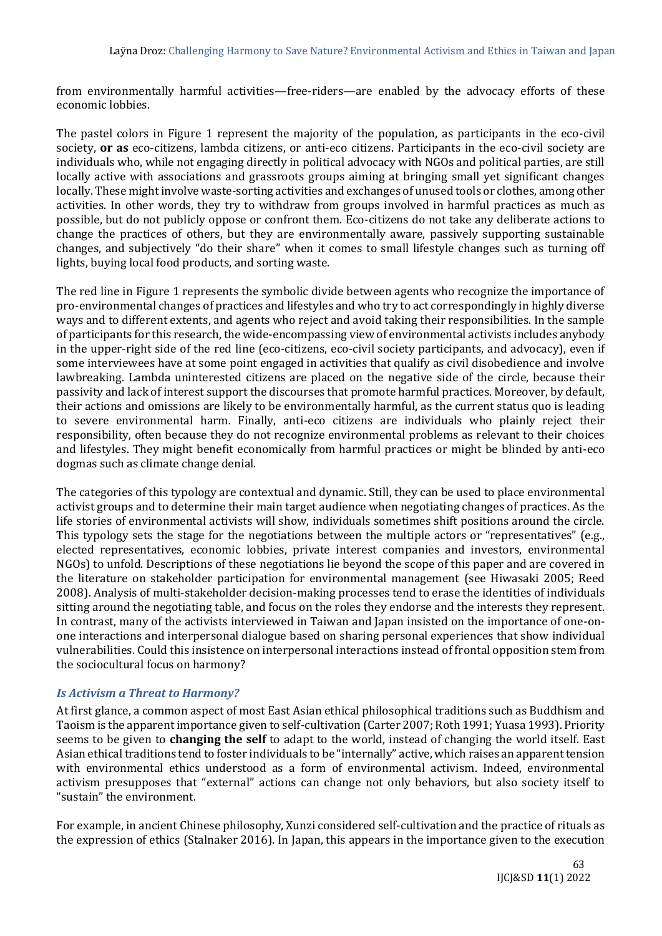from environmentally harmful activities—free-riders—are enabled by the advocacy efforts of these economic lobbies.

The pastel colors in Figure 1 represent the majority of the population, as participants in the eco-civil society, **or as** eco-citizens, lambda citizens, or anti-eco citizens. Participants in the eco-civil society are individuals who, while not engaging directly in political advocacy with NGOs and political parties, are still locally active with associations and grassroots groups aiming at bringing small yet significant changes locally. These might involve waste-sorting activities and exchanges of unused tools or clothes, among other activities. In other words, they try to withdraw from groups involved in harmful practices as much as possible, but do not publicly oppose or confront them. Eco-citizens do not take any deliberate actions to change the practices of others, but they are environmentally aware, passively supporting sustainable changes, and subjectively "do their share" when it comes to small lifestyle changes such as turning off lights, buying local food products, and sorting waste.

The red line in Figure 1 represents the symbolic divide between agents who recognize the importance of pro-environmental changes of practices and lifestyles and who try to act correspondingly in highly diverse ways and to different extents, and agents who reject and avoid taking their responsibilities. In the sample of participants for this research, the wide-encompassing view of environmental activists includes anybody in the upper-right side of the red line (eco-citizens, eco-civil society participants, and advocacy), even if some interviewees have at some point engaged in activities that qualify as civil disobedience and involve lawbreaking. Lambda uninterested citizens are placed on the negative side of the circle, because their passivity and lack of interest support the discourses that promote harmful practices. Moreover, by default, their actions and omissions are likely to be environmentally harmful, as the current status quo is leading to severe environmental harm. Finally, anti-eco citizens are individuals who plainly reject their responsibility, often because they do not recognize environmental problems as relevant to their choices and lifestyles. They might benefit economically from harmful practices or might be blinded by anti-eco dogmas such as climate change denial.

The categories of this typology are contextual and dynamic. Still, they can be used to place environmental activist groups and to determine their main target audience when negotiating changes of practices. As the life stories of environmental activists will show, individuals sometimes shift positions around the circle. This typology sets the stage for the negotiations between the multiple actors or "representatives" (e.g., elected representatives, economic lobbies, private interest companies and investors, environmental NGOs) to unfold. Descriptions of these negotiations lie beyond the scope of this paper and are covered in the literature on stakeholder participation for environmental management (see Hiwasaki 2005; Reed 2008). Analysis of multi-stakeholder decision-making processes tend to erase the identities of individuals sitting around the negotiating table, and focus on the roles they endorse and the interests they represent. In contrast, many of the activists interviewed in Taiwan and Japan insisted on the importance of one-onone interactions and interpersonal dialogue based on sharing personal experiences that show individual vulnerabilities. Could this insistence on interpersonal interactions instead of frontal opposition stem from the sociocultural focus on harmony?

## *Is Activism a Threat to Harmony?*

At first glance, a common aspect of most East Asian ethical philosophical traditions such as Buddhism and Taoism is the apparent importance given to self-cultivation (Carter 2007; Roth 1991; Yuasa 1993). Priority seems to be given to **changing the self** to adapt to the world, instead of changing the world itself. East Asian ethical traditions tend to foster individuals to be "internally" active, which raises an apparent tension with environmental ethics understood as a form of environmental activism. Indeed, environmental activism presupposes that "external" actions can change not only behaviors, but also society itself to "sustain" the environment.

For example, in ancient Chinese philosophy, Xunzi considered self-cultivation and the practice of rituals as the expression of ethics (Stalnaker 2016). In Japan, this appears in the importance given to the execution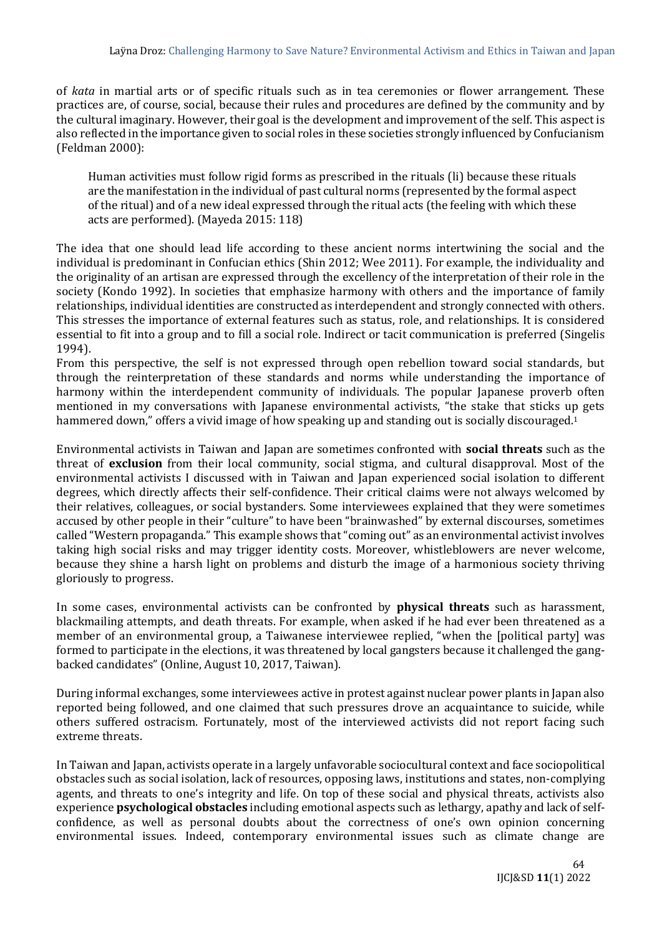of *kata* in martial arts or of specific rituals such as in tea ceremonies or flower arrangement. These practices are, of course, social, because their rules and procedures are defined by the community and by the cultural imaginary. However, their goal is the development and improvement of the self. This aspect is also reflected in the importance given to social roles in these societies strongly influenced by Confucianism (Feldman 2000):

Human activities must follow rigid forms as prescribed in the rituals (li) because these rituals are the manifestation in the individual of past cultural norms (represented by the formal aspect of the ritual) and of a new ideal expressed through the ritual acts (the feeling with which these acts are performed). (Mayeda 2015: 118)

The idea that one should lead life according to these ancient norms intertwining the social and the individual is predominant in Confucian ethics (Shin 2012; Wee 2011). For example, the individuality and the originality of an artisan are expressed through the excellency of the interpretation of their role in the society (Kondo 1992). In societies that emphasize harmony with others and the importance of family relationships, individual identities are constructed as interdependent and strongly connected with others. This stresses the importance of external features such as status, role, and relationships. It is considered essential to fit into a group and to fill a social role. Indirect or tacit communication is preferred (Singelis 1994).

From this perspective, the self is not expressed through open rebellion toward social standards, but through the reinterpretation of these standards and norms while understanding the importance of harmony within the interdependent community of individuals. The popular Japanese proverb often mentioned in my conversations with Japanese environmental activists, "the stake that sticks up gets hammered down," offers a vivid image of how speaking up and standing out is socially discouraged.<sup>1</sup>

Environmental activists in Taiwan and Japan are sometimes confronted with **social threats** such as the threat of **exclusion** from their local community, social stigma, and cultural disapproval. Most of the environmental activists I discussed with in Taiwan and Japan experienced social isolation to different degrees, which directly affects their self-confidence. Their critical claims were not always welcomed by their relatives, colleagues, or social bystanders. Some interviewees explained that they were sometimes accused by other people in their "culture" to have been "brainwashed" by external discourses, sometimes called "Western propaganda." This example shows that "coming out" as an environmental activist involves taking high social risks and may trigger identity costs. Moreover, whistleblowers are never welcome, because they shine a harsh light on problems and disturb the image of a harmonious society thriving gloriously to progress.

In some cases, environmental activists can be confronted by **physical threats** such as harassment, blackmailing attempts, and death threats. For example, when asked if he had ever been threatened as a member of an environmental group, a Taiwanese interviewee replied, "when the [political party] was formed to participate in the elections, it was threatened by local gangsters because it challenged the gangbacked candidates" (Online, August 10, 2017, Taiwan).

During informal exchanges, some interviewees active in protest against nuclear power plants in Japan also reported being followed, and one claimed that such pressures drove an acquaintance to suicide, while others suffered ostracism. Fortunately, most of the interviewed activists did not report facing such extreme threats.

In Taiwan and Japan, activists operate in a largely unfavorable sociocultural context and face sociopolitical obstacles such as social isolation, lack of resources, opposing laws, institutions and states, non-complying agents, and threats to one's integrity and life. On top of these social and physical threats, activists also experience **psychological obstacles** including emotional aspects such as lethargy, apathy and lack of selfconfidence, as well as personal doubts about the correctness of one's own opinion concerning environmental issues. Indeed, contemporary environmental issues such as climate change are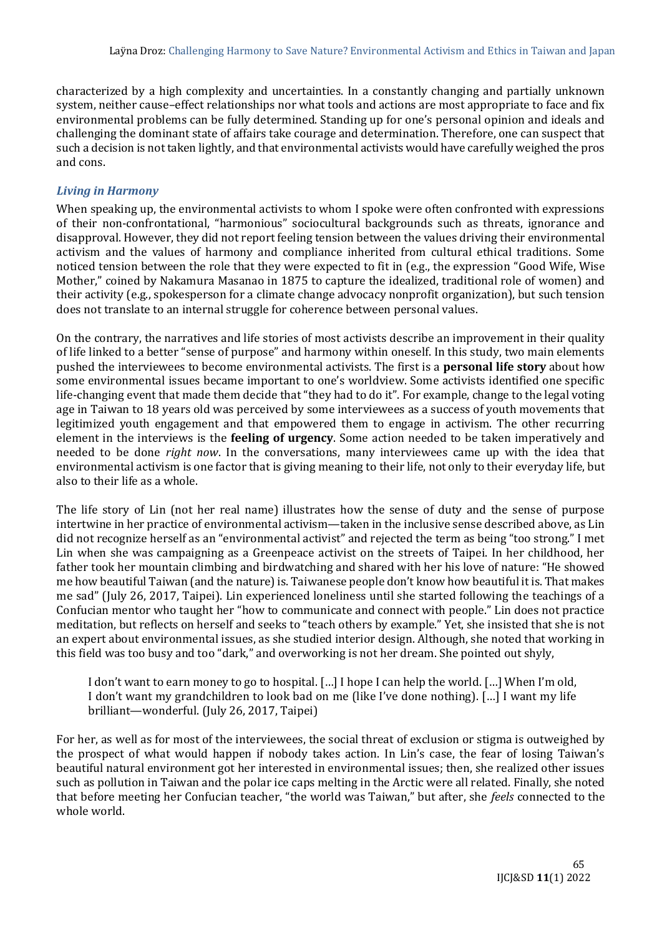characterized by a high complexity and uncertainties. In a constantly changing and partially unknown system, neither cause–effect relationships nor what tools and actions are most appropriate to face and fix environmental problems can be fully determined. Standing up for one's personal opinion and ideals and challenging the dominant state of affairs take courage and determination. Therefore, one can suspect that such a decision is not taken lightly, and that environmental activists would have carefully weighed the pros and cons.

# *Living in Harmony*

When speaking up, the environmental activists to whom I spoke were often confronted with expressions of their non-confrontational, "harmonious" sociocultural backgrounds such as threats, ignorance and disapproval. However, they did not report feeling tension between the values driving their environmental activism and the values of harmony and compliance inherited from cultural ethical traditions. Some noticed tension between the role that they were expected to fit in (e.g., the expression "Good Wife, Wise Mother," coined by Nakamura Masanao in 1875 to capture the idealized, traditional role of women) and their activity (e.g., spokesperson for a climate change advocacy nonprofit organization), but such tension does not translate to an internal struggle for coherence between personal values.

On the contrary, the narratives and life stories of most activists describe an improvement in their quality of life linked to a better "sense of purpose" and harmony within oneself. In this study, two main elements pushed the interviewees to become environmental activists. The first is a **personal life story** about how some environmental issues became important to one's worldview. Some activists identified one specific life-changing event that made them decide that "they had to do it". For example, change to the legal voting age in Taiwan to 18 years old was perceived by some interviewees as a success of youth movements that legitimized youth engagement and that empowered them to engage in activism. The other recurring element in the interviews is the **feeling of urgency**. Some action needed to be taken imperatively and needed to be done *right now*. In the conversations, many interviewees came up with the idea that environmental activism is one factor that is giving meaning to their life, not only to their everyday life, but also to their life as a whole.

The life story of Lin (not her real name) illustrates how the sense of duty and the sense of purpose intertwine in her practice of environmental activism—taken in the inclusive sense described above, as Lin did not recognize herself as an "environmental activist" and rejected the term as being "too strong." I met Lin when she was campaigning as a Greenpeace activist on the streets of Taipei. In her childhood, her father took her mountain climbing and birdwatching and shared with her his love of nature: "He showed me how beautiful Taiwan (and the nature) is. Taiwanese people don't know how beautiful it is. That makes me sad" (July 26, 2017, Taipei). Lin experienced loneliness until she started following the teachings of a Confucian mentor who taught her "how to communicate and connect with people." Lin does not practice meditation, but reflects on herself and seeks to "teach others by example." Yet, she insisted that she is not an expert about environmental issues, as she studied interior design. Although, she noted that working in this field was too busy and too "dark," and overworking is not her dream. She pointed out shyly,

I don't want to earn money to go to hospital. […] I hope I can help the world. […] When I'm old, I don't want my grandchildren to look bad on me (like I've done nothing). […] I want my life brilliant—wonderful. (July 26, 2017, Taipei)

For her, as well as for most of the interviewees, the social threat of exclusion or stigma is outweighed by the prospect of what would happen if nobody takes action. In Lin's case, the fear of losing Taiwan's beautiful natural environment got her interested in environmental issues; then, she realized other issues such as pollution in Taiwan and the polar ice caps melting in the Arctic were all related. Finally, she noted that before meeting her Confucian teacher, "the world was Taiwan," but after, she *feels* connected to the whole world.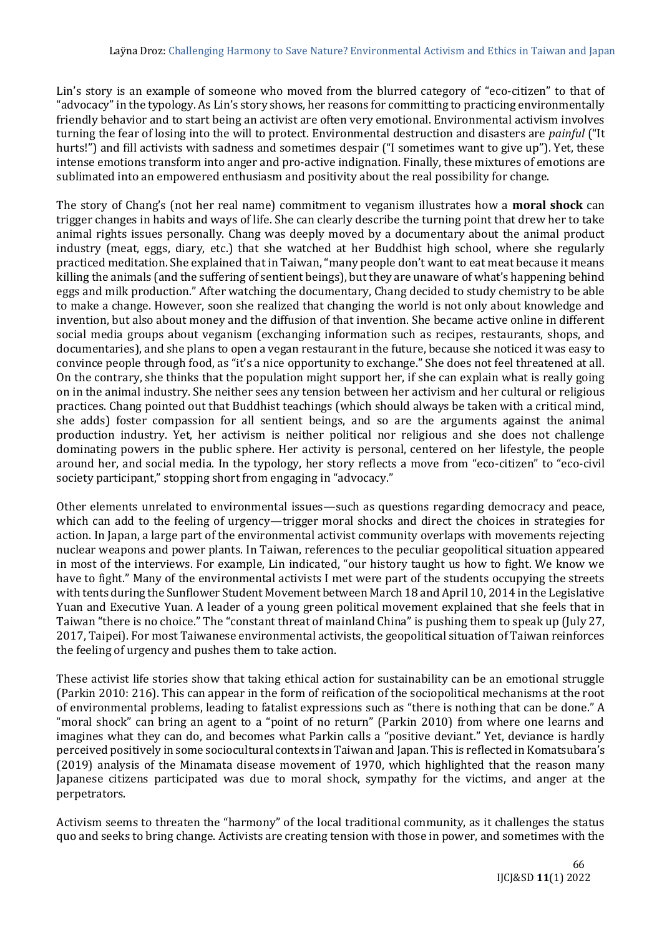Lin's story is an example of someone who moved from the blurred category of "eco-citizen" to that of "advocacy" in the typology. As Lin's story shows, her reasons for committing to practicing environmentally friendly behavior and to start being an activist are often very emotional. Environmental activism involves turning the fear of losing into the will to protect. Environmental destruction and disasters are *painful* ("It hurts!") and fill activists with sadness and sometimes despair ("I sometimes want to give up"). Yet, these intense emotions transform into anger and pro-active indignation. Finally, these mixtures of emotions are sublimated into an empowered enthusiasm and positivity about the real possibility for change.

The story of Chang's (not her real name) commitment to veganism illustrates how a **moral shock** can trigger changes in habits and ways of life. She can clearly describe the turning point that drew her to take animal rights issues personally. Chang was deeply moved by a documentary about the animal product industry (meat, eggs, diary, etc.) that she watched at her Buddhist high school, where she regularly practiced meditation. She explained that in Taiwan, "many people don't want to eat meat because it means killing the animals (and the suffering of sentient beings), but they are unaware of what's happening behind eggs and milk production." After watching the documentary, Chang decided to study chemistry to be able to make a change. However, soon she realized that changing the world is not only about knowledge and invention, but also about money and the diffusion of that invention. She became active online in different social media groups about veganism (exchanging information such as recipes, restaurants, shops, and documentaries), and she plans to open a vegan restaurant in the future, because she noticed it was easy to convince people through food, as "it's a nice opportunity to exchange." She does not feel threatened at all. On the contrary, she thinks that the population might support her, if she can explain what is really going on in the animal industry. She neither sees any tension between her activism and her cultural or religious practices. Chang pointed out that Buddhist teachings (which should always be taken with a critical mind, she adds) foster compassion for all sentient beings, and so are the arguments against the animal production industry. Yet, her activism is neither political nor religious and she does not challenge dominating powers in the public sphere. Her activity is personal, centered on her lifestyle, the people around her, and social media. In the typology, her story reflects a move from "eco-citizen" to "eco-civil society participant," stopping short from engaging in "advocacy."

Other elements unrelated to environmental issues—such as questions regarding democracy and peace, which can add to the feeling of urgency—trigger moral shocks and direct the choices in strategies for action. In Japan, a large part of the environmental activist community overlaps with movements rejecting nuclear weapons and power plants. In Taiwan, references to the peculiar geopolitical situation appeared in most of the interviews. For example, Lin indicated, "our history taught us how to fight. We know we have to fight." Many of the environmental activists I met were part of the students occupying the streets with tents during the Sunflower Student Movement between March 18 and April 10, 2014 in the Legislative Yuan and Executive Yuan. A leader of a young green political movement explained that she feels that in Taiwan "there is no choice." The "constant threat of mainland China" is pushing them to speak up (July 27, 2017, Taipei). For most Taiwanese environmental activists, the geopolitical situation of Taiwan reinforces the feeling of urgency and pushes them to take action.

These activist life stories show that taking ethical action for sustainability can be an emotional struggle (Parkin 2010: 216). This can appear in the form of reification of the sociopolitical mechanisms at the root of environmental problems, leading to fatalist expressions such as "there is nothing that can be done." A "moral shock" can bring an agent to a "point of no return" (Parkin 2010) from where one learns and imagines what they can do, and becomes what Parkin calls a "positive deviant." Yet, deviance is hardly perceived positively in some sociocultural contexts in Taiwan and Japan. This is reflected in Komatsubara's (2019) analysis of the Minamata disease movement of 1970, which highlighted that the reason many Japanese citizens participated was due to moral shock, sympathy for the victims, and anger at the perpetrators.

Activism seems to threaten the "harmony" of the local traditional community, as it challenges the status quo and seeks to bring change. Activists are creating tension with those in power, and sometimes with the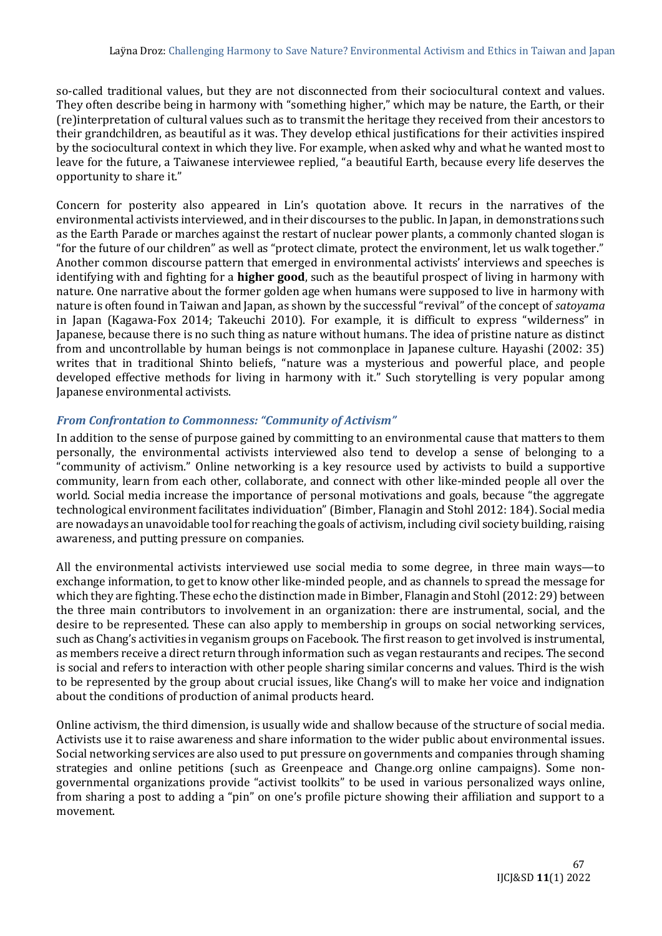so-called traditional values, but they are not disconnected from their sociocultural context and values. They often describe being in harmony with "something higher," which may be nature, the Earth, or their (re)interpretation of cultural values such as to transmit the heritage they received from their ancestors to their grandchildren, as beautiful as it was. They develop ethical justifications for their activities inspired by the sociocultural context in which they live. For example, when asked why and what he wanted most to leave for the future, a Taiwanese interviewee replied, "a beautiful Earth, because every life deserves the opportunity to share it."

Concern for posterity also appeared in Lin's quotation above. It recurs in the narratives of the environmental activists interviewed, and in their discourses to the public. In Japan, in demonstrations such as the Earth Parade or marches against the restart of nuclear power plants, a commonly chanted slogan is "for the future of our children" as well as "protect climate, protect the environment, let us walk together." Another common discourse pattern that emerged in environmental activists' interviews and speeches is identifying with and fighting for a **higher good**, such as the beautiful prospect of living in harmony with nature. One narrative about the former golden age when humans were supposed to live in harmony with nature is often found in Taiwan and Japan, as shown by the successful "revival" of the concept of *satoyama* in Japan (Kagawa-Fox 2014; Takeuchi 2010). For example, it is difficult to express "wilderness" in Japanese, because there is no such thing as nature without humans. The idea of pristine nature as distinct from and uncontrollable by human beings is not commonplace in Japanese culture. Hayashi (2002: 35) writes that in traditional Shinto beliefs, "nature was a mysterious and powerful place, and people developed effective methods for living in harmony with it." Such storytelling is very popular among Japanese environmental activists.

# *From Confrontation to Commonness: "Community of Activism"*

In addition to the sense of purpose gained by committing to an environmental cause that matters to them personally, the environmental activists interviewed also tend to develop a sense of belonging to a "community of activism." Online networking is a key resource used by activists to build a supportive community, learn from each other, collaborate, and connect with other like-minded people all over the world. Social media increase the importance of personal motivations and goals, because "the aggregate technological environment facilitates individuation" (Bimber, Flanagin and Stohl 2012: 184). Social media are nowadays an unavoidable tool for reaching the goals of activism, including civil society building, raising awareness, and putting pressure on companies.

All the environmental activists interviewed use social media to some degree, in three main ways—to exchange information, to get to know other like-minded people, and as channels to spread the message for which they are fighting. These echo the distinction made in Bimber, Flanagin and Stohl (2012: 29) between the three main contributors to involvement in an organization: there are instrumental, social, and the desire to be represented. These can also apply to membership in groups on social networking services, such as Chang's activities in veganism groups on Facebook. The first reason to get involved is instrumental, as members receive a direct return through information such as vegan restaurants and recipes. The second is social and refers to interaction with other people sharing similar concerns and values. Third is the wish to be represented by the group about crucial issues, like Chang's will to make her voice and indignation about the conditions of production of animal products heard.

Online activism, the third dimension, is usually wide and shallow because of the structure of social media. Activists use it to raise awareness and share information to the wider public about environmental issues. Social networking services are also used to put pressure on governments and companies through shaming strategies and online petitions (such as Greenpeace and Change.org online campaigns). Some nongovernmental organizations provide "activist toolkits" to be used in various personalized ways online, from sharing a post to adding a "pin" on one's profile picture showing their affiliation and support to a movement.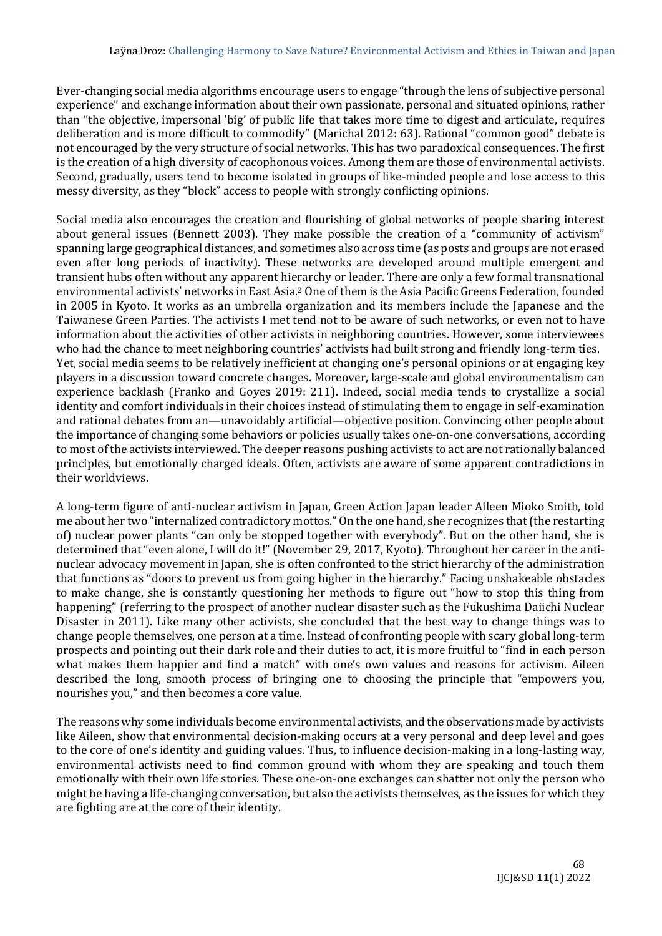Ever-changing social media algorithms encourage users to engage "through the lens of subjective personal experience" and exchange information about their own passionate, personal and situated opinions, rather than "the objective, impersonal 'big' of public life that takes more time to digest and articulate, requires deliberation and is more difficult to commodify" (Marichal 2012: 63). Rational "common good" debate is not encouraged by the very structure of social networks. This has two paradoxical consequences. The first is the creation of a high diversity of cacophonous voices. Among them are those of environmental activists. Second, gradually, users tend to become isolated in groups of like-minded people and lose access to this messy diversity, as they "block" access to people with strongly conflicting opinions.

Social media also encourages the creation and flourishing of global networks of people sharing interest about general issues (Bennett 2003). They make possible the creation of a "community of activism" spanning large geographical distances, and sometimes also across time (as posts and groups are not erased even after long periods of inactivity). These networks are developed around multiple emergent and transient hubs often without any apparent hierarchy or leader. There are only a few formal transnational environmental activists' networks in East Asia.<sup>2</sup> One of them is the Asia Pacific Greens Federation, founded in 2005 in Kyoto. It works as an umbrella organization and its members include the Japanese and the Taiwanese Green Parties. The activists I met tend not to be aware of such networks, or even not to have information about the activities of other activists in neighboring countries. However, some interviewees who had the chance to meet neighboring countries' activists had built strong and friendly long-term ties. Yet, social media seems to be relatively inefficient at changing one's personal opinions or at engaging key players in a discussion toward concrete changes. Moreover, large-scale and global environmentalism can experience backlash (Franko and Goyes 2019: 211). Indeed, social media tends to crystallize a social identity and comfort individuals in their choices instead of stimulating them to engage in self-examination and rational debates from an—unavoidably artificial—objective position. Convincing other people about the importance of changing some behaviors or policies usually takes one-on-one conversations, according to most of the activists interviewed. The deeper reasons pushing activists to act are not rationally balanced principles, but emotionally charged ideals. Often, activists are aware of some apparent contradictions in their worldviews.

A long-term figure of anti-nuclear activism in Japan, Green Action Japan leader Aileen Mioko Smith, told me about her two "internalized contradictory mottos." On the one hand, she recognizes that (the restarting of) nuclear power plants "can only be stopped together with everybody". But on the other hand, she is determined that "even alone, I will do it!" (November 29, 2017, Kyoto). Throughout her career in the antinuclear advocacy movement in Japan, she is often confronted to the strict hierarchy of the administration that functions as "doors to prevent us from going higher in the hierarchy." Facing unshakeable obstacles to make change, she is constantly questioning her methods to figure out "how to stop this thing from happening" (referring to the prospect of another nuclear disaster such as the Fukushima Daiichi Nuclear Disaster in 2011). Like many other activists, she concluded that the best way to change things was to change people themselves, one person at a time. Instead of confronting people with scary global long-term prospects and pointing out their dark role and their duties to act, it is more fruitful to "find in each person what makes them happier and find a match" with one's own values and reasons for activism. Aileen described the long, smooth process of bringing one to choosing the principle that "empowers you, nourishes you," and then becomes a core value.

The reasons why some individuals become environmental activists, and the observations made by activists like Aileen, show that environmental decision-making occurs at a very personal and deep level and goes to the core of one's identity and guiding values. Thus, to influence decision-making in a long-lasting way, environmental activists need to find common ground with whom they are speaking and touch them emotionally with their own life stories. These one-on-one exchanges can shatter not only the person who might be having a life-changing conversation, but also the activists themselves, as the issues for which they are fighting are at the core of their identity.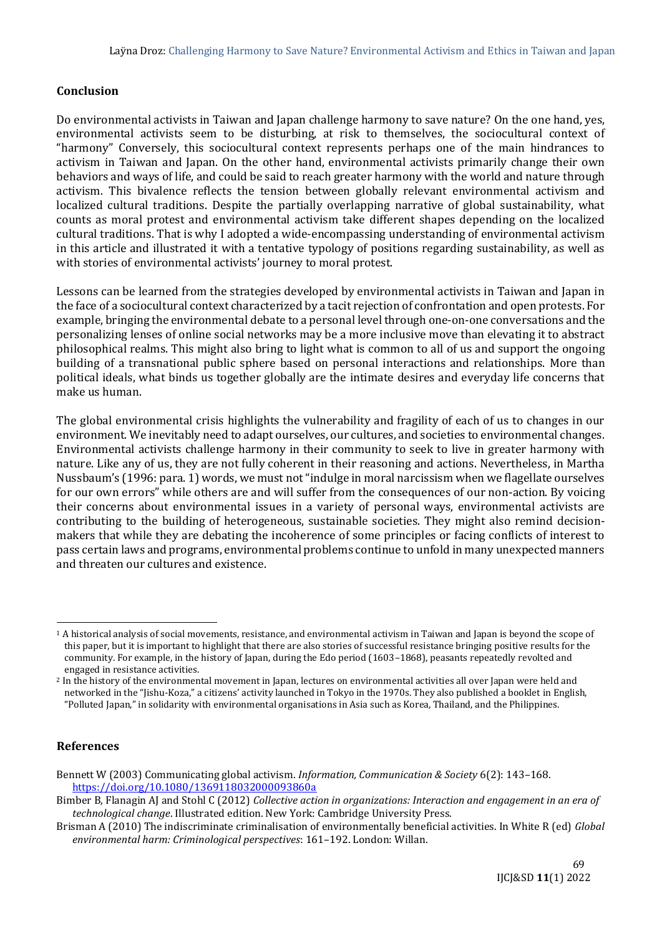## **Conclusion**

Do environmental activists in Taiwan and Japan challenge harmony to save nature? On the one hand, yes, environmental activists seem to be disturbing, at risk to themselves, the sociocultural context of "harmony" Conversely, this sociocultural context represents perhaps one of the main hindrances to activism in Taiwan and Japan. On the other hand, environmental activists primarily change their own behaviors and ways of life, and could be said to reach greater harmony with the world and nature through activism. This bivalence reflects the tension between globally relevant environmental activism and localized cultural traditions. Despite the partially overlapping narrative of global sustainability, what counts as moral protest and environmental activism take different shapes depending on the localized cultural traditions. That is why I adopted a wide-encompassing understanding of environmental activism in this article and illustrated it with a tentative typology of positions regarding sustainability, as well as with stories of environmental activists' journey to moral protest.

Lessons can be learned from the strategies developed by environmental activists in Taiwan and Japan in the face of a sociocultural context characterized by a tacit rejection of confrontation and open protests. For example, bringing the environmental debate to a personal level through one-on-one conversations and the personalizing lenses of online social networks may be a more inclusive move than elevating it to abstract philosophical realms. This might also bring to light what is common to all of us and support the ongoing building of a transnational public sphere based on personal interactions and relationships. More than political ideals, what binds us together globally are the intimate desires and everyday life concerns that make us human.

The global environmental crisis highlights the vulnerability and fragility of each of us to changes in our environment. We inevitably need to adapt ourselves, our cultures, and societies to environmental changes. Environmental activists challenge harmony in their community to seek to live in greater harmony with nature. Like any of us, they are not fully coherent in their reasoning and actions. Nevertheless, in Martha Nussbaum's (1996: para. 1) words, we must not "indulge in moral narcissism when we flagellate ourselves for our own errors" while others are and will suffer from the consequences of our non-action. By voicing their concerns about environmental issues in a variety of personal ways, environmental activists are contributing to the building of heterogeneous, sustainable societies. They might also remind decisionmakers that while they are debating the incoherence of some principles or facing conflicts of interest to pass certain laws and programs, environmental problems continue to unfold in many unexpected manners and threaten our cultures and existence.

#### **References**

<sup>1</sup> A historical analysis of social movements, resistance, and environmental activism in Taiwan and Japan is beyond the scope of this paper, but it is important to highlight that there are also stories of successful resistance bringing positive results for the community. For example, in the history of Japan, during the Edo period (1603–1868), peasants repeatedly revolted and engaged in resistance activities.

<sup>2</sup> In the history of the environmental movement in Japan, lectures on environmental activities all over Japan were held and networked in the "Jishu-Koza," a citizens' activity launched in Tokyo in the 1970s. They also published a booklet in English, "Polluted Japan," in solidarity with environmental organisations in Asia such as Korea, Thailand, and the Philippines.

Bennett W (2003) Communicating global activism. *Information, Communication & Society* 6(2): 143–168. <https://doi.org/10.1080/1369118032000093860a>

Bimber B, Flanagin AJ and Stohl C (2012) *Collective action in organizations: Interaction and engagement in an era of technological change*. Illustrated edition. New York: Cambridge University Press.

Brisman A (2010) The indiscriminate criminalisation of environmentally beneficial activities. In White R (ed) *Global environmental harm: Criminological perspectives*: 161–192. London: Willan.